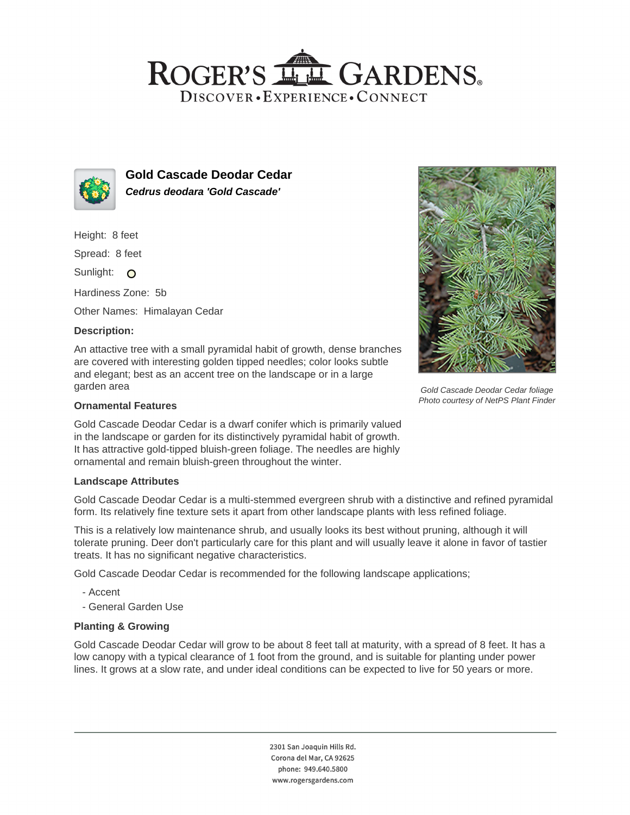# ROGER'S LL GARDENS. DISCOVER · EXPERIENCE · CONNECT



**Gold Cascade Deodar Cedar Cedrus deodara 'Gold Cascade'**

Height: 8 feet

Spread: 8 feet

Sunlight: O

Hardiness Zone: 5b

Other Names: Himalayan Cedar

# **Description:**

An attactive tree with a small pyramidal habit of growth, dense branches are covered with interesting golden tipped needles; color looks subtle and elegant; best as an accent tree on the landscape or in a large garden area

### **Ornamental Features**

Gold Cascade Deodar Cedar is a dwarf conifer which is primarily valued in the landscape or garden for its distinctively pyramidal habit of growth. It has attractive gold-tipped bluish-green foliage. The needles are highly ornamental and remain bluish-green throughout the winter.

#### **Landscape Attributes**

Gold Cascade Deodar Cedar is a multi-stemmed evergreen shrub with a distinctive and refined pyramidal form. Its relatively fine texture sets it apart from other landscape plants with less refined foliage.

This is a relatively low maintenance shrub, and usually looks its best without pruning, although it will tolerate pruning. Deer don't particularly care for this plant and will usually leave it alone in favor of tastier treats. It has no significant negative characteristics.

Gold Cascade Deodar Cedar is recommended for the following landscape applications;

- Accent
- General Garden Use

# **Planting & Growing**

Gold Cascade Deodar Cedar will grow to be about 8 feet tall at maturity, with a spread of 8 feet. It has a low canopy with a typical clearance of 1 foot from the ground, and is suitable for planting under power lines. It grows at a slow rate, and under ideal conditions can be expected to live for 50 years or more.

> 2301 San Joaquin Hills Rd. Corona del Mar, CA 92625 phone: 949.640.5800 www.rogersgardens.com



Gold Cascade Deodar Cedar foliage Photo courtesy of NetPS Plant Finder